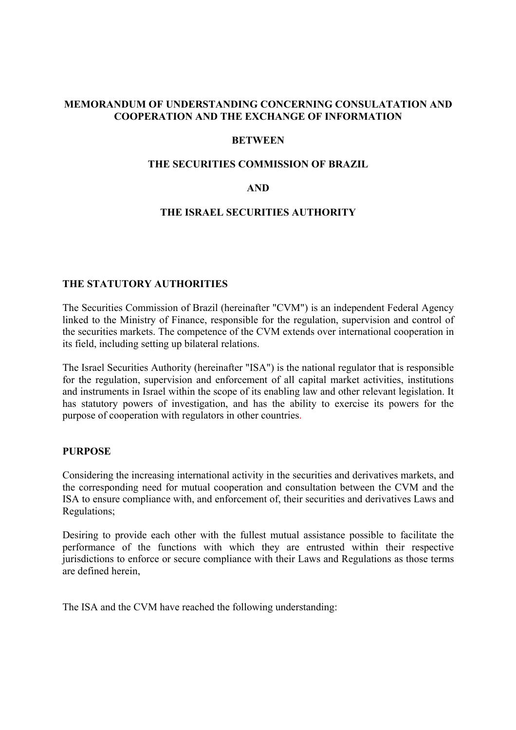## **MEMORANDUM OF UNDERSTANDING CONCERNING CONSULATATION AND COOPERATION AND THE EXCHANGE OF INFORMATION**

#### **BETWEEN**

#### **THE SECURITIES COMMISSION OF BRAZIL**

## **AND**

#### **THE ISRAEL SECURITIES AUTHORITY**

#### **THE STATUTORY AUTHORITIES**

The Securities Commission of Brazil (hereinafter "CVM") is an independent Federal Agency linked to the Ministry of Finance, responsible for the regulation, supervision and control of the securities markets. The competence of the CVM extends over international cooperation in its field, including setting up bilateral relations.

The Israel Securities Authority (hereinafter "ISA") is the national regulator that is responsible for the regulation, supervision and enforcement of all capital market activities, institutions and instruments in Israel within the scope of its enabling law and other relevant legislation. It has statutory powers of investigation, and has the ability to exercise its powers for the purpose of cooperation with regulators in other countries.

#### **PURPOSE**

Considering the increasing international activity in the securities and derivatives markets, and the corresponding need for mutual cooperation and consultation between the CVM and the ISA to ensure compliance with, and enforcement of, their securities and derivatives Laws and Regulations;

Desiring to provide each other with the fullest mutual assistance possible to facilitate the performance of the functions with which they are entrusted within their respective jurisdictions to enforce or secure compliance with their Laws and Regulations as those terms are defined herein,

The ISA and the CVM have reached the following understanding: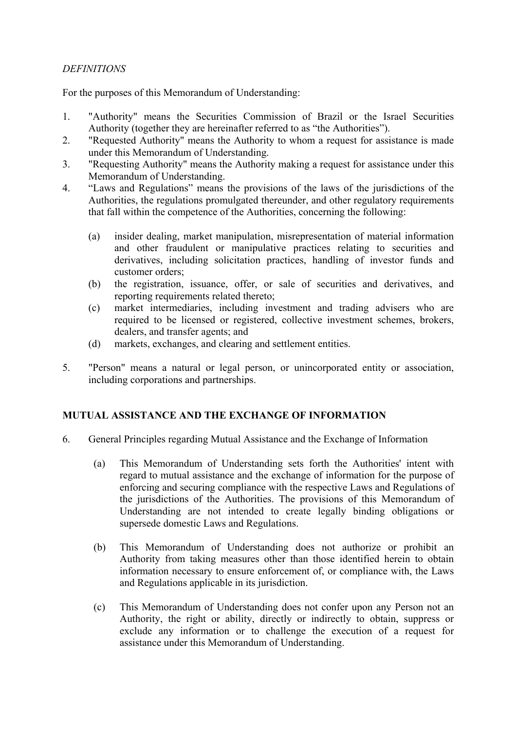# *DEFINITIONS*

For the purposes of this Memorandum of Understanding:

- 1. "Authority" means the Securities Commission of Brazil or the Israel Securities Authority (together they are hereinafter referred to as "the Authorities").
- 2. "Requested Authority" means the Authority to whom a request for assistance is made under this Memorandum of Understanding.
- 3. "Requesting Authority" means the Authority making a request for assistance under this Memorandum of Understanding.
- 4. "Laws and Regulations" means the provisions of the laws of the jurisdictions of the Authorities, the regulations promulgated thereunder, and other regulatory requirements that fall within the competence of the Authorities, concerning the following:
	- (a) insider dealing, market manipulation, misrepresentation of material information and other fraudulent or manipulative practices relating to securities and derivatives, including solicitation practices, handling of investor funds and customer orders;
	- (b) the registration, issuance, offer, or sale of securities and derivatives, and reporting requirements related thereto;
	- (c) market intermediaries, including investment and trading advisers who are required to be licensed or registered, collective investment schemes, brokers, dealers, and transfer agents; and
	- (d) markets, exchanges, and clearing and settlement entities.
- 5. "Person" means a natural or legal person, or unincorporated entity or association, including corporations and partnerships.

# **MUTUAL ASSISTANCE AND THE EXCHANGE OF INFORMATION**

- 6. General Principles regarding Mutual Assistance and the Exchange of Information
	- (a) This Memorandum of Understanding sets forth the Authorities' intent with regard to mutual assistance and the exchange of information for the purpose of enforcing and securing compliance with the respective Laws and Regulations of the jurisdictions of the Authorities. The provisions of this Memorandum of Understanding are not intended to create legally binding obligations or supersede domestic Laws and Regulations.
	- (b) This Memorandum of Understanding does not authorize or prohibit an Authority from taking measures other than those identified herein to obtain information necessary to ensure enforcement of, or compliance with, the Laws and Regulations applicable in its jurisdiction.
	- (c) This Memorandum of Understanding does not confer upon any Person not an Authority, the right or ability, directly or indirectly to obtain, suppress or exclude any information or to challenge the execution of a request for assistance under this Memorandum of Understanding.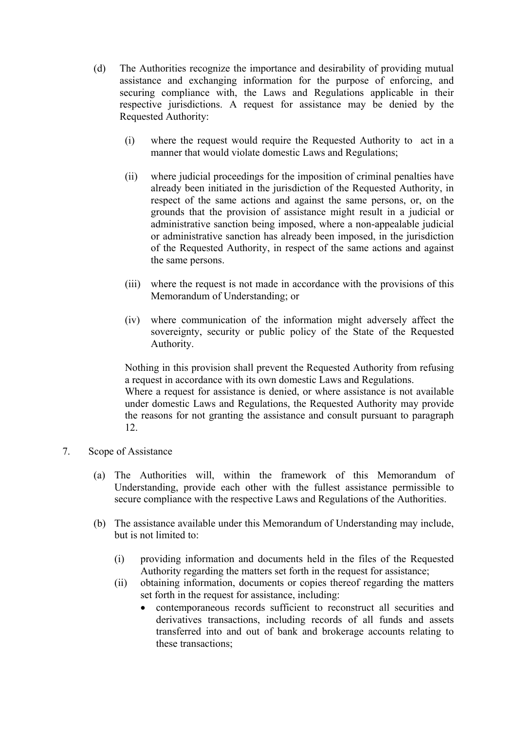- (d) The Authorities recognize the importance and desirability of providing mutual assistance and exchanging information for the purpose of enforcing, and securing compliance with, the Laws and Regulations applicable in their respective jurisdictions. A request for assistance may be denied by the Requested Authority:
	- (i) where the request would require the Requested Authority to act in a manner that would violate domestic Laws and Regulations;
	- (ii) where judicial proceedings for the imposition of criminal penalties have already been initiated in the jurisdiction of the Requested Authority, in respect of the same actions and against the same persons, or, on the grounds that the provision of assistance might result in a judicial or administrative sanction being imposed, where a non-appealable judicial or administrative sanction has already been imposed, in the jurisdiction of the Requested Authority, in respect of the same actions and against the same persons.
	- (iii) where the request is not made in accordance with the provisions of this Memorandum of Understanding; or
	- (iv) where communication of the information might adversely affect the sovereignty, security or public policy of the State of the Requested Authority.

Nothing in this provision shall prevent the Requested Authority from refusing a request in accordance with its own domestic Laws and Regulations. Where a request for assistance is denied, or where assistance is not available under domestic Laws and Regulations, the Requested Authority may provide the reasons for not granting the assistance and consult pursuant to paragraph 12.

- 7. Scope of Assistance
	- (a) The Authorities will, within the framework of this Memorandum of Understanding, provide each other with the fullest assistance permissible to secure compliance with the respective Laws and Regulations of the Authorities.
	- (b) The assistance available under this Memorandum of Understanding may include, but is not limited to:
		- (i) providing information and documents held in the files of the Requested Authority regarding the matters set forth in the request for assistance;
		- (ii) obtaining information, documents or copies thereof regarding the matters set forth in the request for assistance, including:
			- contemporaneous records sufficient to reconstruct all securities and derivatives transactions, including records of all funds and assets transferred into and out of bank and brokerage accounts relating to these transactions;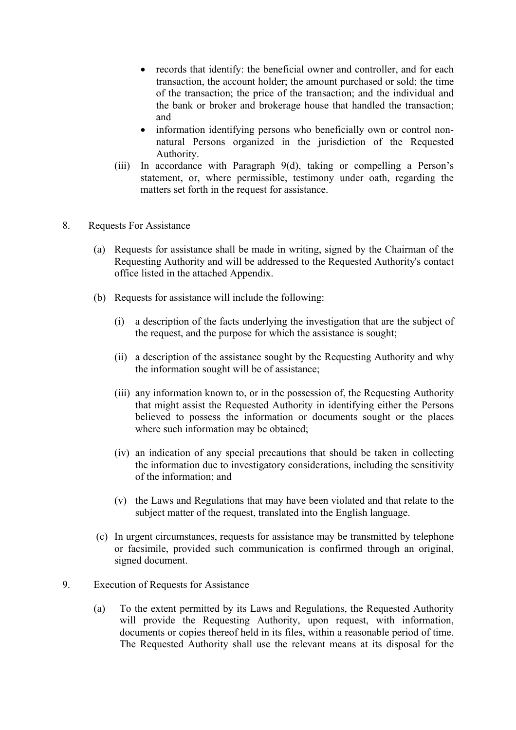- records that identify: the beneficial owner and controller, and for each transaction, the account holder; the amount purchased or sold; the time of the transaction; the price of the transaction; and the individual and the bank or broker and brokerage house that handled the transaction; and
- information identifying persons who beneficially own or control nonnatural Persons organized in the jurisdiction of the Requested Authority.
- (iii) In accordance with Paragraph 9(d), taking or compelling a Person's statement, or, where permissible, testimony under oath, regarding the matters set forth in the request for assistance.
- 8. Requests For Assistance
	- (a) Requests for assistance shall be made in writing, signed by the Chairman of the Requesting Authority and will be addressed to the Requested Authority's contact office listed in the attached Appendix.
	- (b) Requests for assistance will include the following:
		- (i) a description of the facts underlying the investigation that are the subject of the request, and the purpose for which the assistance is sought;
		- (ii) a description of the assistance sought by the Requesting Authority and why the information sought will be of assistance;
		- (iii) any information known to, or in the possession of, the Requesting Authority that might assist the Requested Authority in identifying either the Persons believed to possess the information or documents sought or the places where such information may be obtained;
		- (iv) an indication of any special precautions that should be taken in collecting the information due to investigatory considerations, including the sensitivity of the information; and
		- (v) the Laws and Regulations that may have been violated and that relate to the subject matter of the request, translated into the English language.
	- (c) In urgent circumstances, requests for assistance may be transmitted by telephone or facsimile, provided such communication is confirmed through an original, signed document.
- 9. Execution of Requests for Assistance
	- (a) To the extent permitted by its Laws and Regulations, the Requested Authority will provide the Requesting Authority, upon request, with information, documents or copies thereof held in its files, within a reasonable period of time. The Requested Authority shall use the relevant means at its disposal for the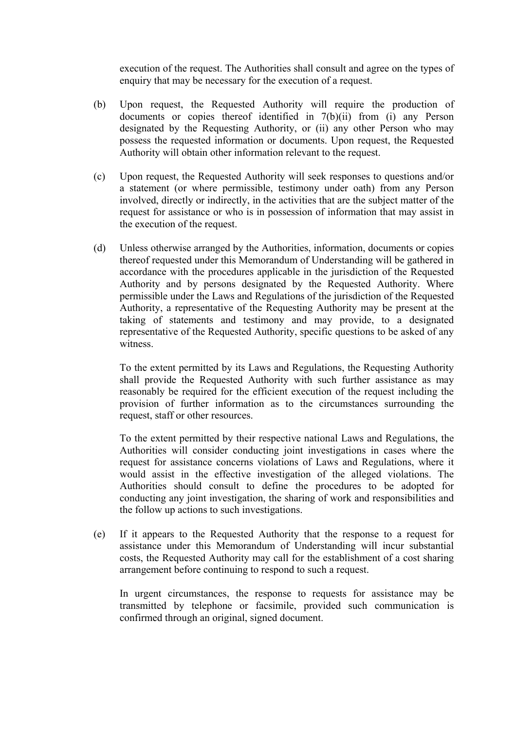execution of the request. The Authorities shall consult and agree on the types of enquiry that may be necessary for the execution of a request.

- (b) Upon request, the Requested Authority will require the production of documents or copies thereof identified in 7(b)(ii) from (i) any Person designated by the Requesting Authority, or (ii) any other Person who may possess the requested information or documents. Upon request, the Requested Authority will obtain other information relevant to the request.
- (c) Upon request, the Requested Authority will seek responses to questions and/or a statement (or where permissible, testimony under oath) from any Person involved, directly or indirectly, in the activities that are the subject matter of the request for assistance or who is in possession of information that may assist in the execution of the request.
- (d) Unless otherwise arranged by the Authorities, information, documents or copies thereof requested under this Memorandum of Understanding will be gathered in accordance with the procedures applicable in the jurisdiction of the Requested Authority and by persons designated by the Requested Authority. Where permissible under the Laws and Regulations of the jurisdiction of the Requested Authority, a representative of the Requesting Authority may be present at the taking of statements and testimony and may provide, to a designated representative of the Requested Authority, specific questions to be asked of any witness.

To the extent permitted by its Laws and Regulations, the Requesting Authority shall provide the Requested Authority with such further assistance as may reasonably be required for the efficient execution of the request including the provision of further information as to the circumstances surrounding the request, staff or other resources.

To the extent permitted by their respective national Laws and Regulations, the Authorities will consider conducting joint investigations in cases where the request for assistance concerns violations of Laws and Regulations, where it would assist in the effective investigation of the alleged violations. The Authorities should consult to define the procedures to be adopted for conducting any joint investigation, the sharing of work and responsibilities and the follow up actions to such investigations.

(e) If it appears to the Requested Authority that the response to a request for assistance under this Memorandum of Understanding will incur substantial costs, the Requested Authority may call for the establishment of a cost sharing arrangement before continuing to respond to such a request.

In urgent circumstances, the response to requests for assistance may be transmitted by telephone or facsimile, provided such communication is confirmed through an original, signed document.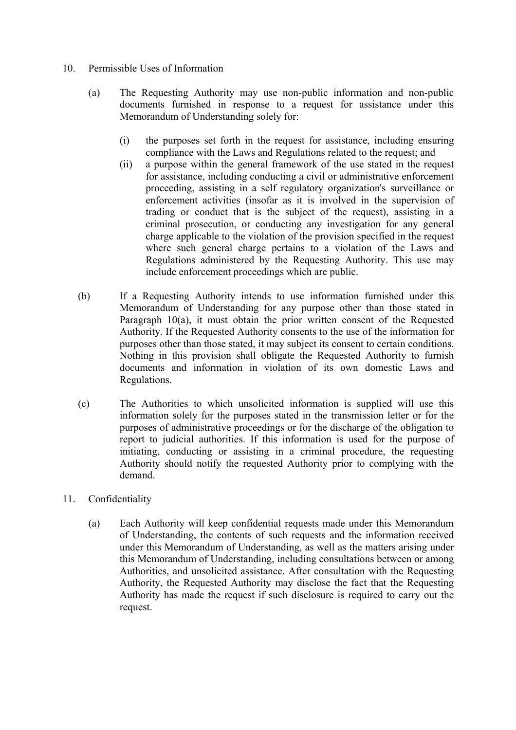- 10. Permissible Uses of Information
	- (a) The Requesting Authority may use non-public information and non-public documents furnished in response to a request for assistance under this Memorandum of Understanding solely for:
		- (i) the purposes set forth in the request for assistance, including ensuring compliance with the Laws and Regulations related to the request; and
		- (ii) a purpose within the general framework of the use stated in the request for assistance, including conducting a civil or administrative enforcement proceeding, assisting in a self regulatory organization's surveillance or enforcement activities (insofar as it is involved in the supervision of trading or conduct that is the subject of the request), assisting in a criminal prosecution, or conducting any investigation for any general charge applicable to the violation of the provision specified in the request where such general charge pertains to a violation of the Laws and Regulations administered by the Requesting Authority. This use may include enforcement proceedings which are public.
	- (b) If a Requesting Authority intends to use information furnished under this Memorandum of Understanding for any purpose other than those stated in Paragraph 10(a), it must obtain the prior written consent of the Requested Authority. If the Requested Authority consents to the use of the information for purposes other than those stated, it may subject its consent to certain conditions. Nothing in this provision shall obligate the Requested Authority to furnish documents and information in violation of its own domestic Laws and Regulations.
	- (c) The Authorities to which unsolicited information is supplied will use this information solely for the purposes stated in the transmission letter or for the purposes of administrative proceedings or for the discharge of the obligation to report to judicial authorities. If this information is used for the purpose of initiating, conducting or assisting in a criminal procedure, the requesting Authority should notify the requested Authority prior to complying with the demand.
- 11. Confidentiality
	- (a) Each Authority will keep confidential requests made under this Memorandum of Understanding, the contents of such requests and the information received under this Memorandum of Understanding, as well as the matters arising under this Memorandum of Understanding, including consultations between or among Authorities, and unsolicited assistance. After consultation with the Requesting Authority, the Requested Authority may disclose the fact that the Requesting Authority has made the request if such disclosure is required to carry out the request.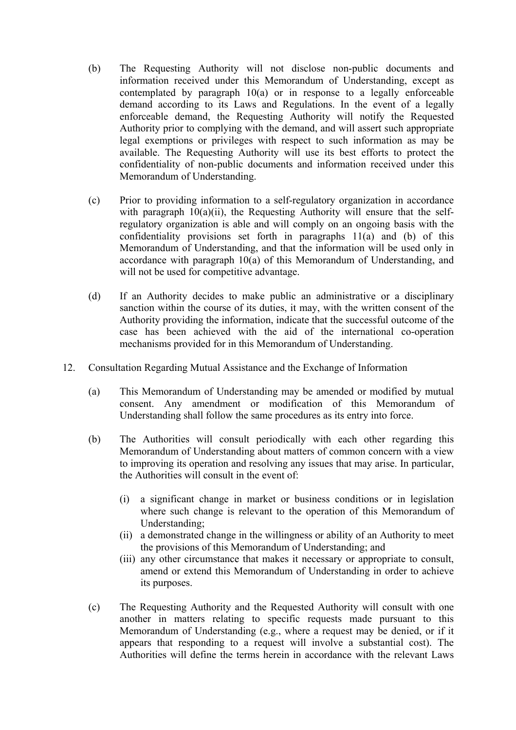- (b) The Requesting Authority will not disclose non-public documents and information received under this Memorandum of Understanding, except as contemplated by paragraph 10(a) or in response to a legally enforceable demand according to its Laws and Regulations. In the event of a legally enforceable demand, the Requesting Authority will notify the Requested Authority prior to complying with the demand, and will assert such appropriate legal exemptions or privileges with respect to such information as may be available. The Requesting Authority will use its best efforts to protect the confidentiality of non-public documents and information received under this Memorandum of Understanding.
- (c) Prior to providing information to a self-regulatory organization in accordance with paragraph  $10(a)(ii)$ , the Requesting Authority will ensure that the selfregulatory organization is able and will comply on an ongoing basis with the confidentiality provisions set forth in paragraphs  $11(a)$  and (b) of this Memorandum of Understanding, and that the information will be used only in accordance with paragraph 10(a) of this Memorandum of Understanding, and will not be used for competitive advantage.
- (d) If an Authority decides to make public an administrative or a disciplinary sanction within the course of its duties, it may, with the written consent of the Authority providing the information, indicate that the successful outcome of the case has been achieved with the aid of the international co-operation mechanisms provided for in this Memorandum of Understanding.
- 12. Consultation Regarding Mutual Assistance and the Exchange of Information
	- (a) This Memorandum of Understanding may be amended or modified by mutual consent. Any amendment or modification of this Memorandum of Understanding shall follow the same procedures as its entry into force.
	- (b) The Authorities will consult periodically with each other regarding this Memorandum of Understanding about matters of common concern with a view to improving its operation and resolving any issues that may arise. In particular, the Authorities will consult in the event of:
		- (i) a significant change in market or business conditions or in legislation where such change is relevant to the operation of this Memorandum of Understanding;
		- (ii) a demonstrated change in the willingness or ability of an Authority to meet the provisions of this Memorandum of Understanding; and
		- (iii) any other circumstance that makes it necessary or appropriate to consult, amend or extend this Memorandum of Understanding in order to achieve its purposes.
	- (c) The Requesting Authority and the Requested Authority will consult with one another in matters relating to specific requests made pursuant to this Memorandum of Understanding (e.g., where a request may be denied, or if it appears that responding to a request will involve a substantial cost). The Authorities will define the terms herein in accordance with the relevant Laws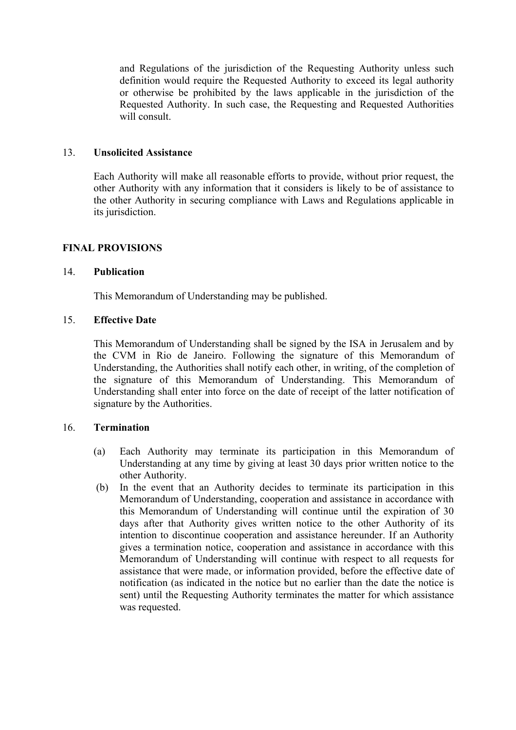and Regulations of the jurisdiction of the Requesting Authority unless such definition would require the Requested Authority to exceed its legal authority or otherwise be prohibited by the laws applicable in the jurisdiction of the Requested Authority. In such case, the Requesting and Requested Authorities will consult.

## 13. **Unsolicited Assistance**

Each Authority will make all reasonable efforts to provide, without prior request, the other Authority with any information that it considers is likely to be of assistance to the other Authority in securing compliance with Laws and Regulations applicable in its jurisdiction.

## **FINAL PROVISIONS**

#### 14. **Publication**

This Memorandum of Understanding may be published.

## 15. **Effective Date**

 This Memorandum of Understanding shall be signed by the ISA in Jerusalem and by the CVM in Rio de Janeiro. Following the signature of this Memorandum of Understanding, the Authorities shall notify each other, in writing, of the completion of the signature of this Memorandum of Understanding. This Memorandum of Understanding shall enter into force on the date of receipt of the latter notification of signature by the Authorities.

#### 16. **Termination**

- (a) Each Authority may terminate its participation in this Memorandum of Understanding at any time by giving at least 30 days prior written notice to the other Authority.
- (b) In the event that an Authority decides to terminate its participation in this Memorandum of Understanding, cooperation and assistance in accordance with this Memorandum of Understanding will continue until the expiration of 30 days after that Authority gives written notice to the other Authority of its intention to discontinue cooperation and assistance hereunder. If an Authority gives a termination notice, cooperation and assistance in accordance with this Memorandum of Understanding will continue with respect to all requests for assistance that were made, or information provided, before the effective date of notification (as indicated in the notice but no earlier than the date the notice is sent) until the Requesting Authority terminates the matter for which assistance was requested.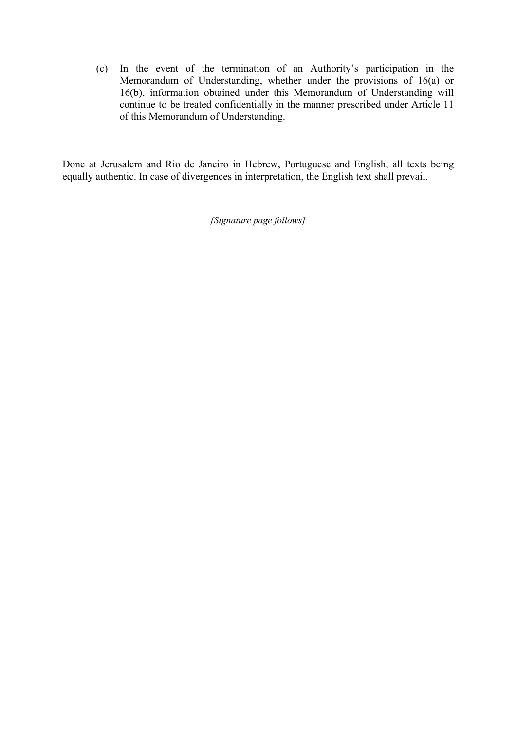(c) In the event of the termination of an Authority's participation in the Memorandum of Understanding, whether under the provisions of 16(a) or 16(b), information obtained under this Memorandum of Understanding will continue to be treated confidentially in the manner prescribed under Article 11 of this Memorandum of Understanding.

Done at Jerusalem and Rio de Janeiro in Hebrew, Portuguese and English, all texts being equally authentic. In case of divergences in interpretation, the English text shall prevail.

*[Signature page follows]*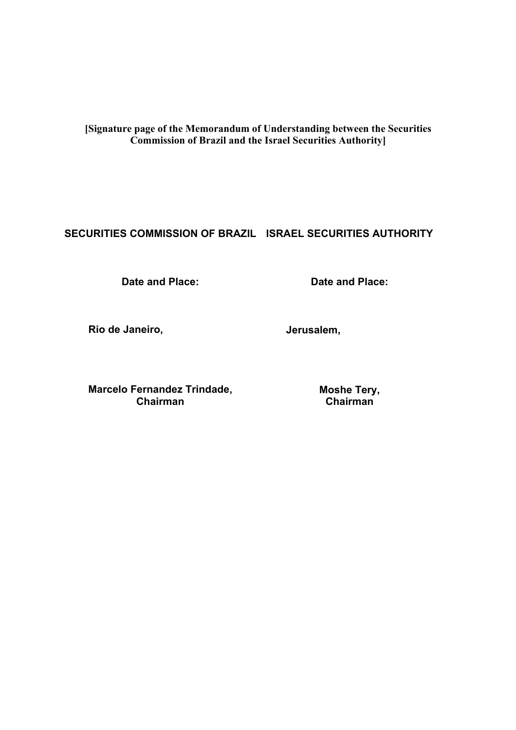**[Signature page of the Memorandum of Understanding between the Securities Commission of Brazil and the Israel Securities Authority]** 

# **SECURITIES COMMISSION OF BRAZIL ISRAEL SECURITIES AUTHORITY**

**Date and Place:** 

**Date and Place:** 

**Rio de Janeiro,** 

**Jerusalem,** 

**Marcelo Fernandez Trindade, Chairman** 

**Moshe Tery, Chairman**